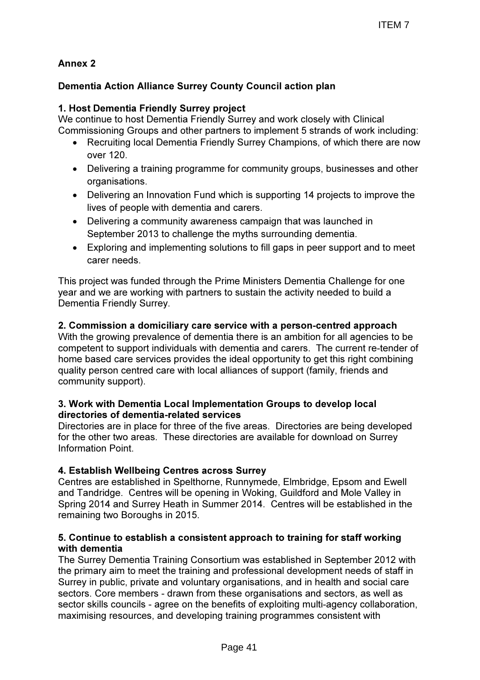# Annex 2

# Dementia Action Alliance Surrey County Council action plan

## 1. Host Dementia Friendly Surrey project

We continue to host Dementia Friendly Surrey and work closely with Clinical Commissioning Groups and other partners to implement 5 strands of work including:

- Recruiting local Dementia Friendly Surrey Champions, of which there are now over 120.
- Delivering a training programme for community groups, businesses and other organisations.
- Delivering an Innovation Fund which is supporting 14 projects to improve the lives of people with dementia and carers.
- Delivering a community awareness campaign that was launched in September 2013 to challenge the myths surrounding dementia.
- Exploring and implementing solutions to fill gaps in peer support and to meet carer needs.

This project was funded through the Prime Ministers Dementia Challenge for one year and we are working with partners to sustain the activity needed to build a Dementia Friendly Surrey.

### 2. Commission a domiciliary care service with a person-centred approach

With the growing prevalence of dementia there is an ambition for all agencies to be competent to support individuals with dementia and carers. The current re-tender of home based care services provides the ideal opportunity to get this right combining quality person centred care with local alliances of support (family, friends and community support).

#### 3. Work with Dementia Local Implementation Groups to develop local directories of dementia-related services

Directories are in place for three of the five areas. Directories are being developed for the other two areas. These directories are available for download on Surrey Information Point.

### 4. Establish Wellbeing Centres across Surrey

Centres are established in Spelthorne, Runnymede, Elmbridge, Epsom and Ewell and Tandridge. Centres will be opening in Woking, Guildford and Mole Valley in Spring 2014 and Surrey Heath in Summer 2014. Centres will be established in the remaining two Boroughs in 2015.

#### 5. Continue to establish a consistent approach to training for staff working with dementia

The Surrey Dementia Training Consortium was established in September 2012 with the primary aim to meet the training and professional development needs of staff in Surrey in public, private and voluntary organisations, and in health and social care sectors. Core members - drawn from these organisations and sectors, as well as sector skills councils - agree on the benefits of exploiting multi-agency collaboration, maximising resources, and developing training programmes consistent with